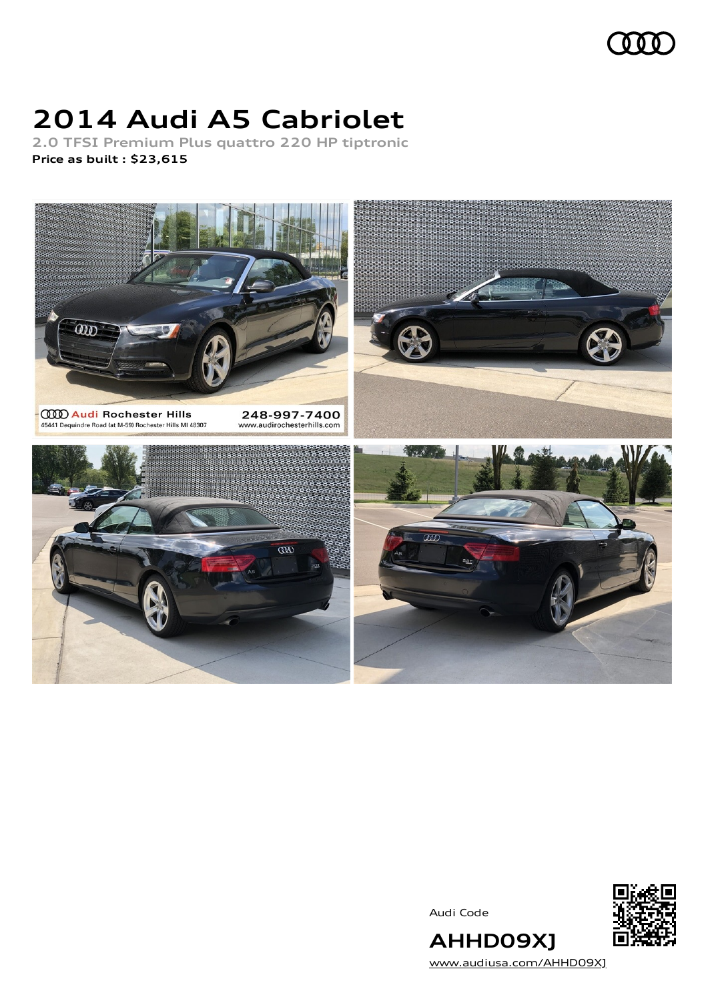# **2014 Audi A5 Cabriolet**

**2.0 TFSI Premium Plus quattro 220 HP tiptronic Price as built [:](#page-9-0) \$23,615**



Audi Code



[www.audiusa.com/AHHD09XJ](https://www.audiusa.com/AHHD09XJ)

**AHHD09XJ**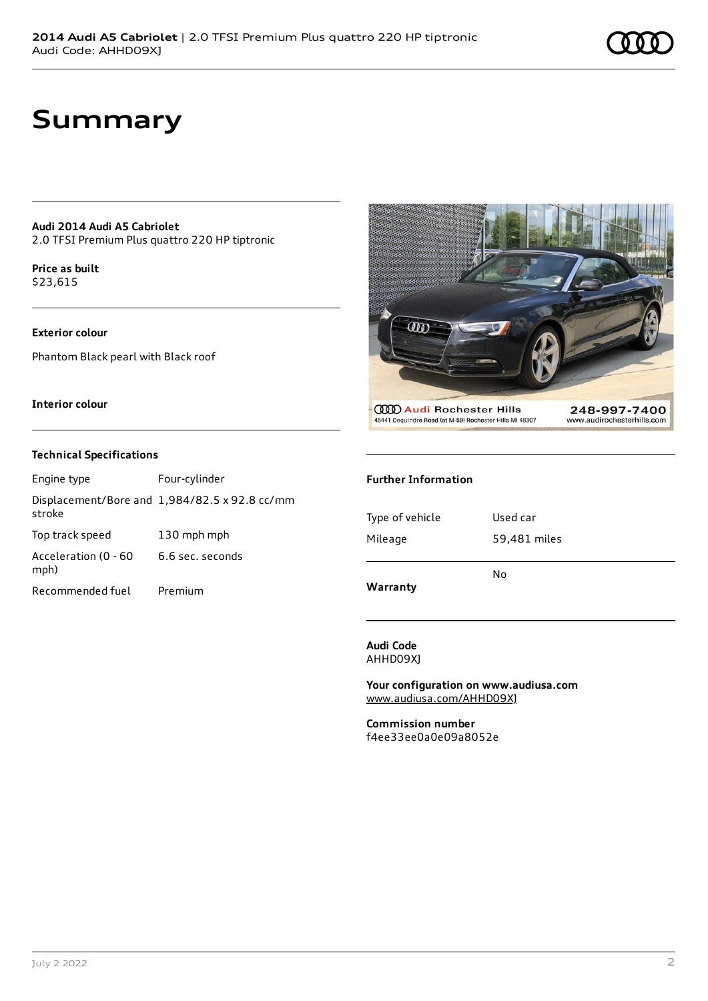### **Summary**

**Audi 2014 Audi A5 Cabriolet** 2.0 TFSI Premium Plus quattro 220 HP tiptronic

**Price as buil[t](#page-9-0)** \$23,615

### **Exterior colour**

Phantom Black pearl with Black roof

### **Interior colour**

### **Technical Specifications**

Engine type Four-cylinder Displacement/Bore and 1,984/82.5 x 92.8 cc/mm stroke Top track speed 130 mph mph Acceleration (0 - 60 mph) 6.6 sec. seconds

Recommended fuel Premium



| Warranty        | No           |
|-----------------|--------------|
| Mileage         | 59,481 miles |
| Type of vehicle | Used car     |
|                 |              |

**Audi Code** AHHD09XJ

**Your configuration on www.audiusa.com** [www.audiusa.com/AHHD09XJ](https://www.audiusa.com/AHHD09XJ)

**Commission number** f4ee33ee0a0e09a8052e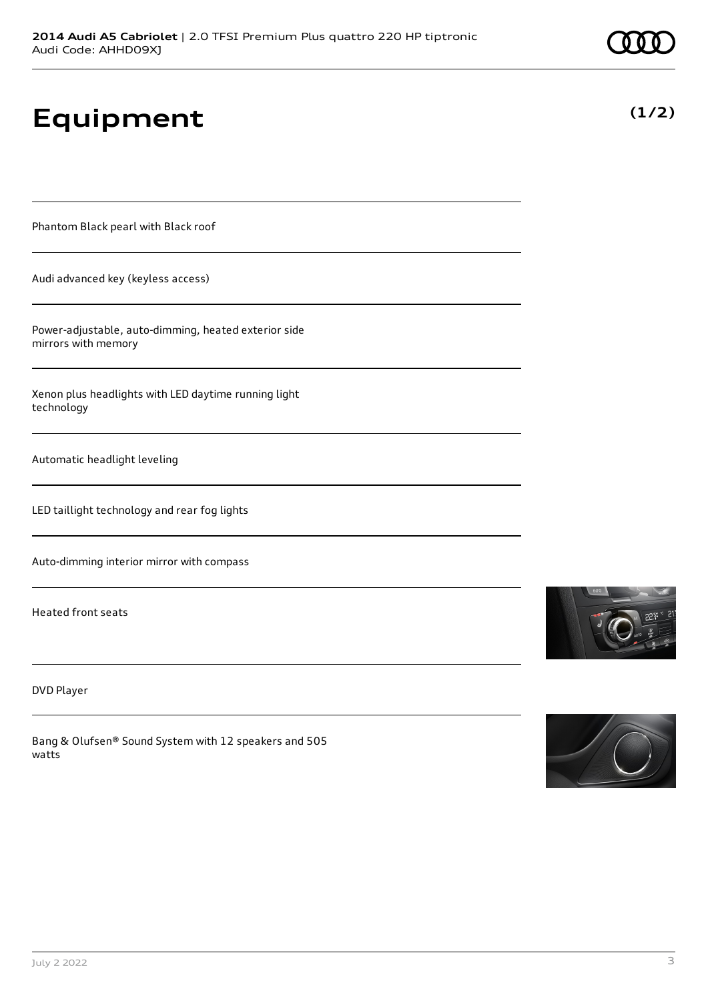# **Equipment**

Phantom Black pearl with Black roof

Audi advanced key (keyless access)

Power-adjustable, auto-dimming, heated exterior side mirrors with memory

Xenon plus headlights with LED daytime running light technology

Automatic headlight leveling

LED taillight technology and rear fog lights

Auto-dimming interior mirror with compass

Heated front seats

DVD Player

Bang & Olufsen® Sound System with 12 speakers and 505 watts









**(1/2)**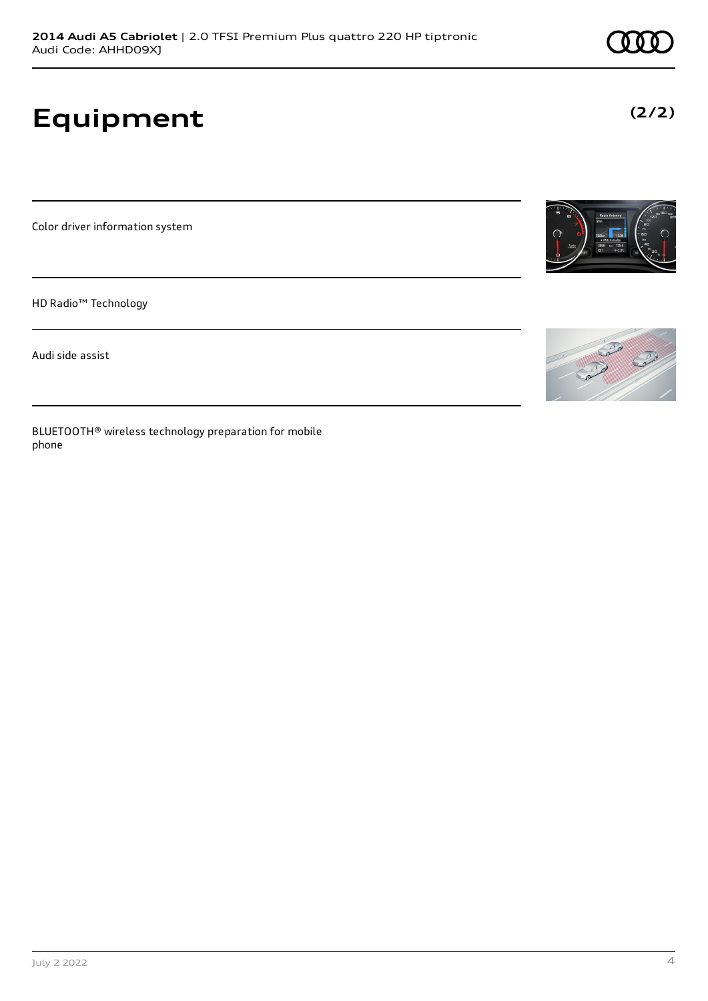# **Equipment**

Color driver information system

HD Radio™ Technology

Audi side assist

BLUETOOTH® wireless technology preparation for mobile phone





**(2/2)**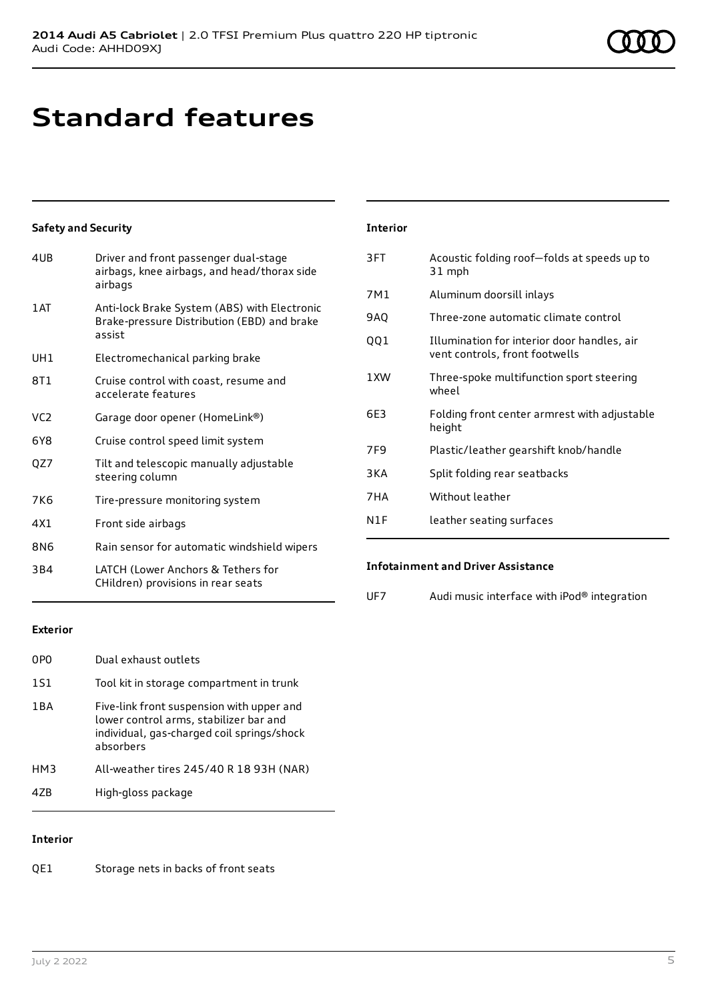# **Standard features**

### **Safety and Security**

| Driver and front passenger dual-stage<br>airbags, knee airbags, and head/thorax side<br>airbags       |
|-------------------------------------------------------------------------------------------------------|
| Anti-lock Brake System (ABS) with Electronic<br>Brake-pressure Distribution (EBD) and brake<br>assist |
| Electromechanical parking brake                                                                       |
| Cruise control with coast, resume and<br>accelerate features                                          |
| Garage door opener (HomeLink®)                                                                        |
| Cruise control speed limit system                                                                     |
| Tilt and telescopic manually adjustable<br>steering column                                            |
| Tire-pressure monitoring system                                                                       |
| Front side airbags                                                                                    |
| Rain sensor for automatic windshield wipers                                                           |
| LATCH (Lower Anchors & Tethers for<br>CHildren) provisions in rear seats                              |
|                                                                                                       |

### **Exterior**

| 0PO   | Dual exhaust outlets                                                                                                                           |
|-------|------------------------------------------------------------------------------------------------------------------------------------------------|
| 151   | Tool kit in storage compartment in trunk                                                                                                       |
| 1 B A | Five-link front suspension with upper and<br>lower control arms, stabilizer bar and<br>individual, gas-charged coil springs/shock<br>absorbers |
| HM3   | All-weather tires 245/40 R 18 93H (NAR)                                                                                                        |
| 47R   | High-gloss package                                                                                                                             |

### **Interior**

QE1 Storage nets in backs of front seats

### **Interior**

| 3FT | Acoustic folding roof-folds at speeds up to<br>31 mph                         |
|-----|-------------------------------------------------------------------------------|
| 7M1 | Aluminum doorsill inlays                                                      |
| 9AQ | Three-zone automatic climate control                                          |
| 001 | Illumination for interior door handles, air<br>vent controls, front footwells |
| 1XW | Three-spoke multifunction sport steering<br>wheel                             |
| 6E3 | Folding front center armrest with adjustable<br>height                        |
| 7F9 | Plastic/leather gearshift knob/handle                                         |
| 3KA | Split folding rear seatbacks                                                  |
| 7HA | Without leather                                                               |
| N1F | leather seating surfaces                                                      |

### **Infotainment and Driver Assistance**

UF7 Audi music interface with iPod® integration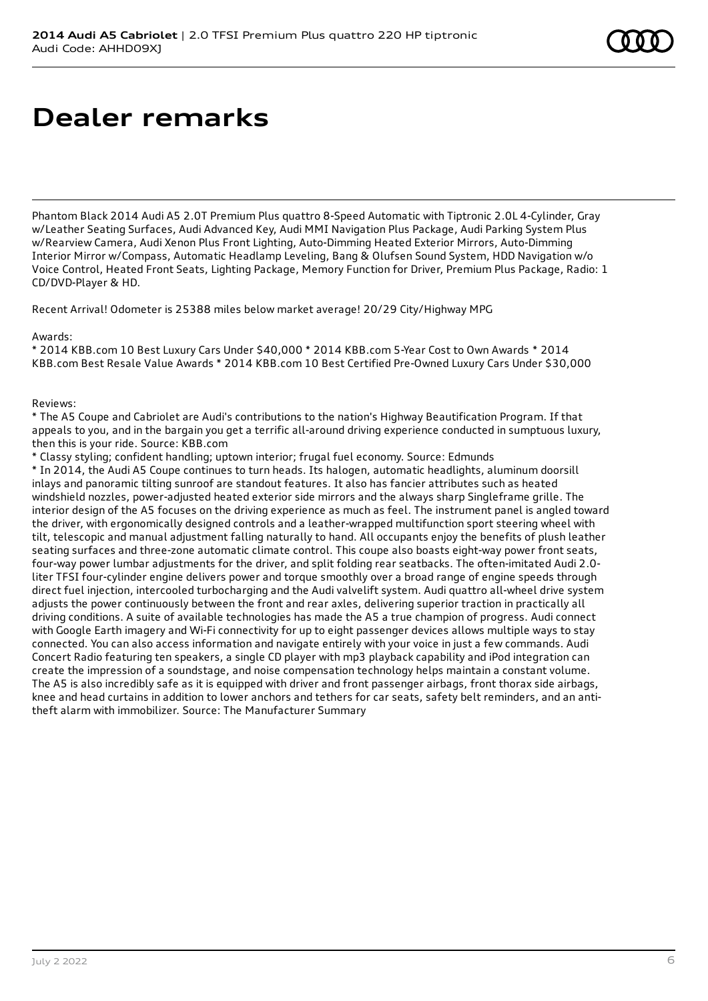# **Dealer remarks**

Phantom Black 2014 Audi A5 2.0T Premium Plus quattro 8-Speed Automatic with Tiptronic 2.0L 4-Cylinder, Gray w/Leather Seating Surfaces, Audi Advanced Key, Audi MMI Navigation Plus Package, Audi Parking System Plus w/Rearview Camera, Audi Xenon Plus Front Lighting, Auto-Dimming Heated Exterior Mirrors, Auto-Dimming Interior Mirror w/Compass, Automatic Headlamp Leveling, Bang & Olufsen Sound System, HDD Navigation w/o Voice Control, Heated Front Seats, Lighting Package, Memory Function for Driver, Premium Plus Package, Radio: 1 CD/DVD-Player & HD.

Recent Arrival! Odometer is 25388 miles below market average! 20/29 City/Highway MPG

#### Awards:

\* 2014 KBB.com 10 Best Luxury Cars Under \$40,000 \* 2014 KBB.com 5-Year Cost to Own Awards \* 2014 KBB.com Best Resale Value Awards \* 2014 KBB.com 10 Best Certified Pre-Owned Luxury Cars Under \$30,000

#### Reviews:

\* The A5 Coupe and Cabriolet are Audi's contributions to the nation's Highway Beautification Program. If that appeals to you, and in the bargain you get a terrific all-around driving experience conducted in sumptuous luxury, then this is your ride. Source: KBB.com

\* Classy styling; confident handling; uptown interior; frugal fuel economy. Source: Edmunds

\* In 2014, the Audi A5 Coupe continues to turn heads. Its halogen, automatic headlights, aluminum doorsill inlays and panoramic tilting sunroof are standout features. It also has fancier attributes such as heated windshield nozzles, power-adjusted heated exterior side mirrors and the always sharp Singleframe grille. The interior design of the A5 focuses on the driving experience as much as feel. The instrument panel is angled toward the driver, with ergonomically designed controls and a leather-wrapped multifunction sport steering wheel with tilt, telescopic and manual adjustment falling naturally to hand. All occupants enjoy the benefits of plush leather seating surfaces and three-zone automatic climate control. This coupe also boasts eight-way power front seats, four-way power lumbar adjustments for the driver, and split folding rear seatbacks. The often-imitated Audi 2.0 liter TFSI four-cylinder engine delivers power and torque smoothly over a broad range of engine speeds through direct fuel injection, intercooled turbocharging and the Audi valvelift system. Audi quattro all-wheel drive system adjusts the power continuously between the front and rear axles, delivering superior traction in practically all driving conditions. A suite of available technologies has made the A5 a true champion of progress. Audi connect with Google Earth imagery and Wi-Fi connectivity for up to eight passenger devices allows multiple ways to stay connected. You can also access information and navigate entirely with your voice in just a few commands. Audi Concert Radio featuring ten speakers, a single CD player with mp3 playback capability and iPod integration can create the impression of a soundstage, and noise compensation technology helps maintain a constant volume. The A5 is also incredibly safe as it is equipped with driver and front passenger airbags, front thorax side airbags, knee and head curtains in addition to lower anchors and tethers for car seats, safety belt reminders, and an antitheft alarm with immobilizer. Source: The Manufacturer Summary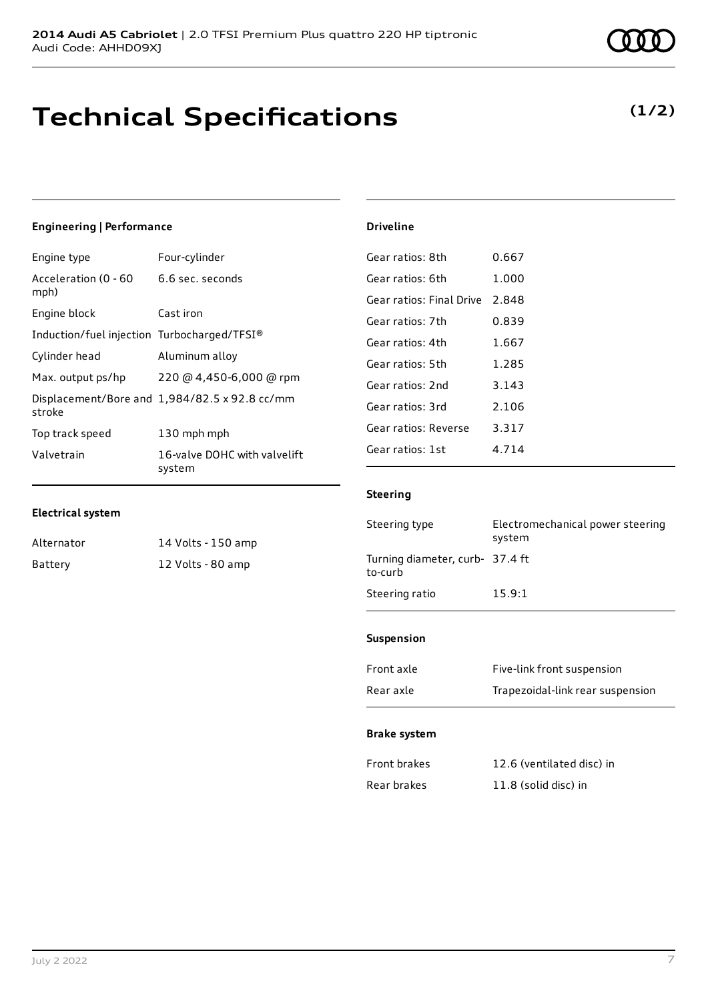### **Technical Specifications**

**(1/2)**

### **Engineering | Performance**

| Engine type                                 | Four-cylinder                                 |
|---------------------------------------------|-----------------------------------------------|
| Acceleration (0 - 60<br>mph)                | 6.6 sec. seconds                              |
| Engine block                                | Cast iron                                     |
| Induction/fuel injection Turbocharged/TFSI® |                                               |
| Cylinder head                               | Aluminum alloy                                |
| Max. output ps/hp                           | 220 @ 4,450-6,000 @ rpm                       |
| stroke                                      | Displacement/Bore and 1,984/82.5 x 92.8 cc/mm |
| Top track speed                             | 130 mph mph                                   |
| Valvetrain                                  | 16-valve DOHC with valvelift<br>system        |

### **Electrical system**

Alternator 14 Volts - 150 amp Battery 12 Volts - 80 amp

### **Driveline**

| Gear ratios: 8th         | 0.667   |
|--------------------------|---------|
| Gear ratios: 6th         | 1.000   |
| Gear ratios: Final Drive | 2.848   |
| Gear ratios: 7th         | 0.839   |
| Gear ratios: 4th         | 1.667   |
| Gear ratios: 5th         | 1.285   |
| Gear ratios: 2nd         | 3.143   |
| Gear ratios: 3rd         | 2.106   |
| Gear ratios: Reverse     | 3.317   |
| Gear ratios: 1st         | 4 7 1 4 |
|                          |         |

### **Steering**

| Steering type                             | Electromechanical power steering<br>system |
|-------------------------------------------|--------------------------------------------|
| Turning diameter, curb-37.4 ft<br>to-curb |                                            |
| Steering ratio                            | 15.9:1                                     |

### **Suspension**

| Front axle | Five-link front suspension       |
|------------|----------------------------------|
| Rear axle  | Trapezoidal-link rear suspension |

#### **Brake system**

| Front brakes | 12.6 (ventilated disc) in |
|--------------|---------------------------|
| Rear brakes  | 11.8 (solid disc) in      |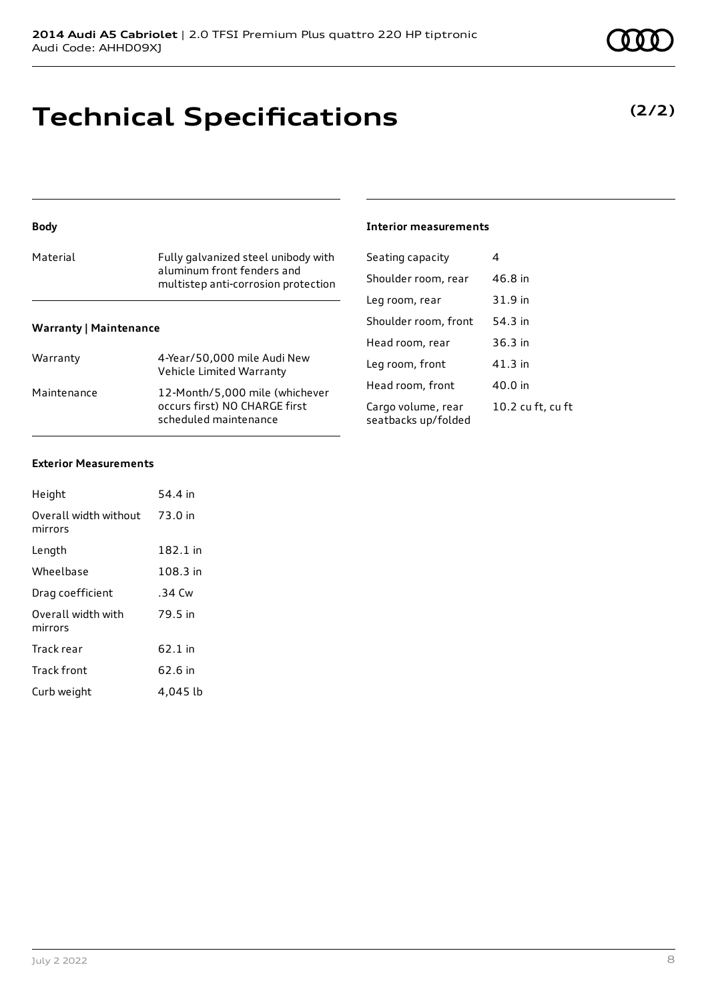### **Technical Specifications**

### **Body**

| Material | Fully galvanized steel unibody with<br>aluminum front fenders and<br>multistep anti-corrosion protection |
|----------|----------------------------------------------------------------------------------------------------------|
|          |                                                                                                          |

### **Warranty | Maintenance**

| Warranty    | 4-Year/50,000 mile Audi New<br>Vehicle Limited Warranty                                  |
|-------------|------------------------------------------------------------------------------------------|
| Maintenance | 12-Month/5,000 mile (whichever<br>occurs first) NO CHARGE first<br>scheduled maintenance |

### **Interior measurements**

| Seating capacity                          | 4                 |
|-------------------------------------------|-------------------|
| Shoulder room, rear                       | 46.8 in           |
| Leg room, rear                            | 31.9 in           |
| Shoulder room, front                      | 54.3 in           |
| Head room, rear                           | $36.3$ in         |
| Leg room, front                           | 41.3 in           |
| Head room, front                          | 40.0 in           |
| Cargo volume, rear<br>seatbacks up/folded | 10.2 cu ft, cu ft |

### **Exterior Measurements**

| Height                           | 54.4 in  |
|----------------------------------|----------|
| Overall width without<br>mirrors | 73.0 in  |
| Length                           | 182.1 in |
| Wheelbase                        | 108.3 in |
| Drag coefficient                 | .34 Cw   |
| Overall width with<br>mirrors    | 79.5 in  |
| Track rear                       | 62.1 in  |
| Track front                      | 62.6 in  |
| Curb weight                      | 4.045 lb |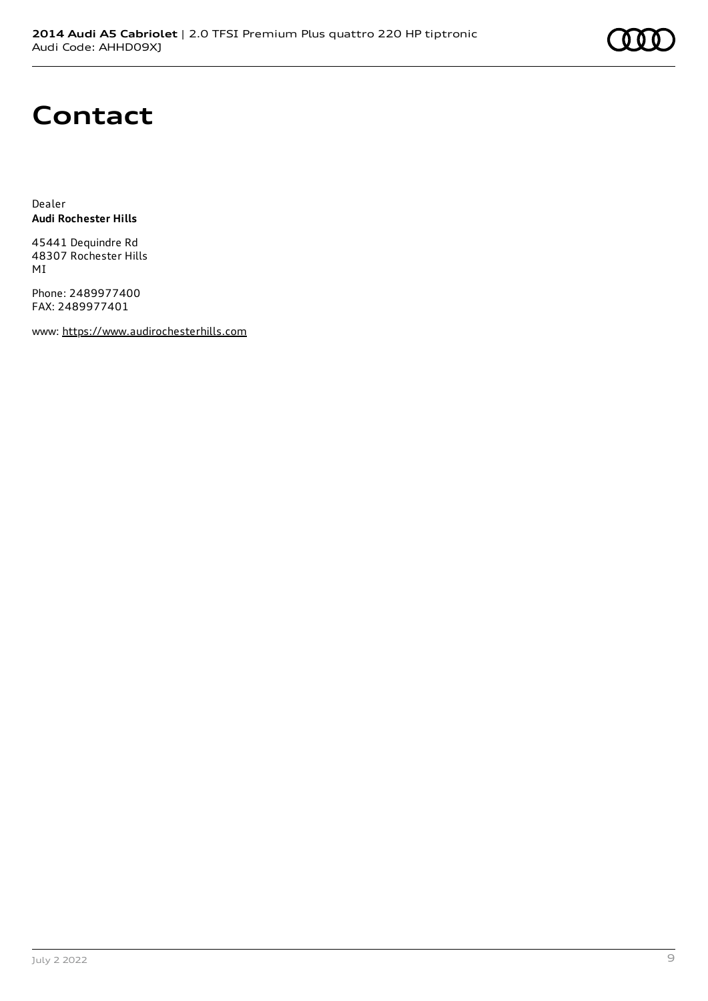

## **Contact**

Dealer **Audi Rochester Hills**

45441 Dequindre Rd 48307 Rochester Hills MI

Phone: 2489977400 FAX: 2489977401

www: [https://www.audirochesterhills.com](https://www.audirochesterhills.com/)